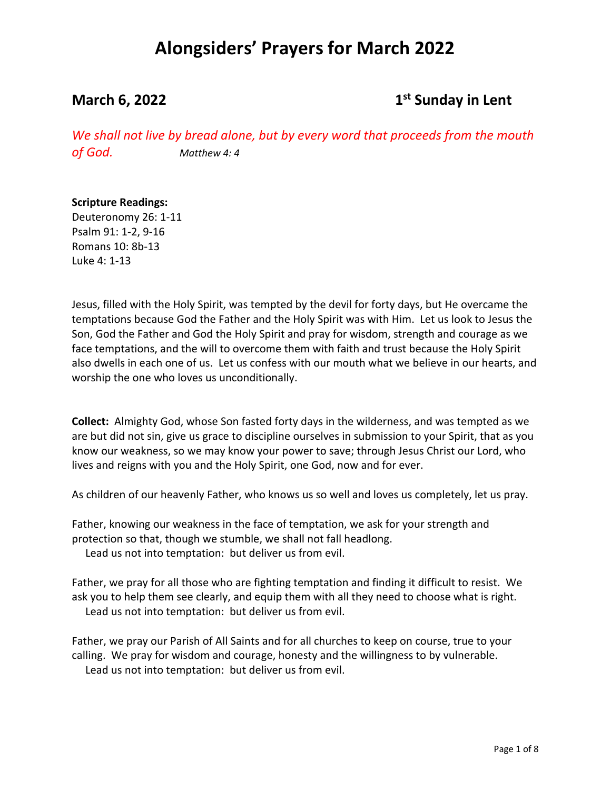### **March 6, 2022 1st 1st 1st 1st 1st Sunday in Lent**

*We shall not live by bread alone, but by every word that proceeds from the mouth of God. Matthew 4: 4*

### **Scripture Readings:**

Deuteronomy 26: 1-11 Psalm 91: 1-2, 9-16 Romans 10: 8b-13 Luke 4: 1-13

Jesus, filled with the Holy Spirit, was tempted by the devil for forty days, but He overcame the temptations because God the Father and the Holy Spirit was with Him. Let us look to Jesus the Son, God the Father and God the Holy Spirit and pray for wisdom, strength and courage as we face temptations, and the will to overcome them with faith and trust because the Holy Spirit also dwells in each one of us. Let us confess with our mouth what we believe in our hearts, and worship the one who loves us unconditionally.

**Collect:** Almighty God, whose Son fasted forty days in the wilderness, and was tempted as we are but did not sin, give us grace to discipline ourselves in submission to your Spirit, that as you know our weakness, so we may know your power to save; through Jesus Christ our Lord, who lives and reigns with you and the Holy Spirit, one God, now and for ever.

As children of our heavenly Father, who knows us so well and loves us completely, let us pray.

Father, knowing our weakness in the face of temptation, we ask for your strength and protection so that, though we stumble, we shall not fall headlong.

Lead us not into temptation: but deliver us from evil.

Father, we pray for all those who are fighting temptation and finding it difficult to resist. We ask you to help them see clearly, and equip them with all they need to choose what is right. Lead us not into temptation: but deliver us from evil.

Father, we pray our Parish of All Saints and for all churches to keep on course, true to your calling. We pray for wisdom and courage, honesty and the willingness to by vulnerable. Lead us not into temptation: but deliver us from evil.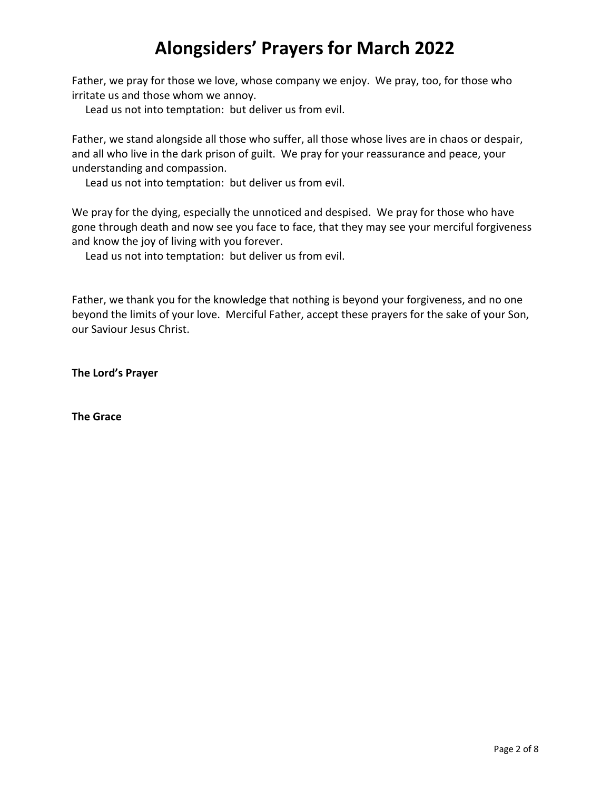Father, we pray for those we love, whose company we enjoy. We pray, too, for those who irritate us and those whom we annoy.

Lead us not into temptation: but deliver us from evil.

Father, we stand alongside all those who suffer, all those whose lives are in chaos or despair, and all who live in the dark prison of guilt. We pray for your reassurance and peace, your understanding and compassion.

Lead us not into temptation: but deliver us from evil.

We pray for the dying, especially the unnoticed and despised. We pray for those who have gone through death and now see you face to face, that they may see your merciful forgiveness and know the joy of living with you forever.

Lead us not into temptation: but deliver us from evil.

Father, we thank you for the knowledge that nothing is beyond your forgiveness, and no one beyond the limits of your love. Merciful Father, accept these prayers for the sake of your Son, our Saviour Jesus Christ.

**The Lord's Prayer**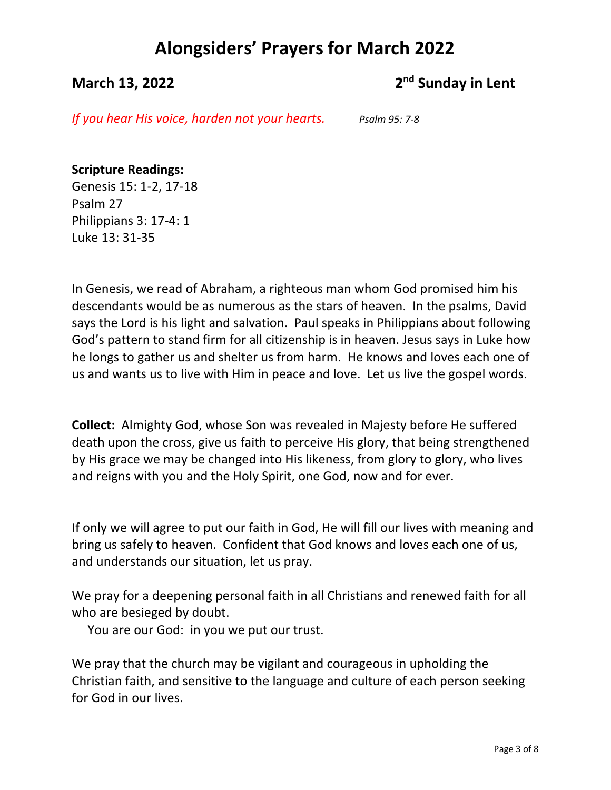## **March 13, 2022 2<sup>nd</sup> Sunday in Lent**

*If you hear His voice, harden not your hearts. Psalm 95: 7-8*

### **Scripture Readings:**

Genesis 15: 1-2, 17-18 Psalm 27 Philippians 3: 17-4: 1 Luke 13: 31-35

In Genesis, we read of Abraham, a righteous man whom God promised him his descendants would be as numerous as the stars of heaven. In the psalms, David says the Lord is his light and salvation. Paul speaks in Philippians about following God's pattern to stand firm for all citizenship is in heaven. Jesus says in Luke how he longs to gather us and shelter us from harm. He knows and loves each one of us and wants us to live with Him in peace and love. Let us live the gospel words.

**Collect:** Almighty God, whose Son was revealed in Majesty before He suffered death upon the cross, give us faith to perceive His glory, that being strengthened by His grace we may be changed into His likeness, from glory to glory, who lives and reigns with you and the Holy Spirit, one God, now and for ever.

If only we will agree to put our faith in God, He will fill our lives with meaning and bring us safely to heaven. Confident that God knows and loves each one of us, and understands our situation, let us pray.

We pray for a deepening personal faith in all Christians and renewed faith for all who are besieged by doubt.

You are our God: in you we put our trust.

We pray that the church may be vigilant and courageous in upholding the Christian faith, and sensitive to the language and culture of each person seeking for God in our lives.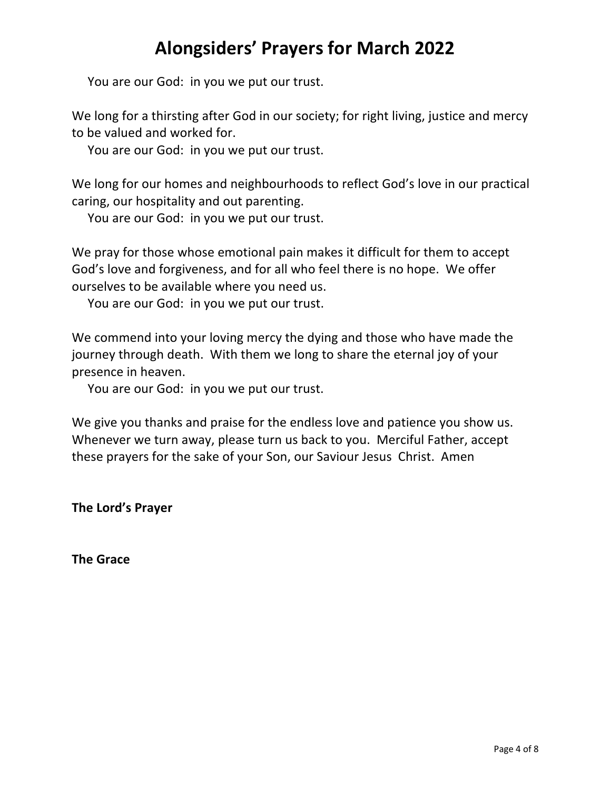You are our God: in you we put our trust.

We long for a thirsting after God in our society; for right living, justice and mercy to be valued and worked for.

You are our God: in you we put our trust.

We long for our homes and neighbourhoods to reflect God's love in our practical caring, our hospitality and out parenting.

You are our God: in you we put our trust.

We pray for those whose emotional pain makes it difficult for them to accept God's love and forgiveness, and for all who feel there is no hope. We offer ourselves to be available where you need us.

You are our God: in you we put our trust.

We commend into your loving mercy the dying and those who have made the journey through death. With them we long to share the eternal joy of your presence in heaven.

You are our God: in you we put our trust.

We give you thanks and praise for the endless love and patience you show us. Whenever we turn away, please turn us back to you. Merciful Father, accept these prayers for the sake of your Son, our Saviour Jesus Christ. Amen

**The Lord's Prayer**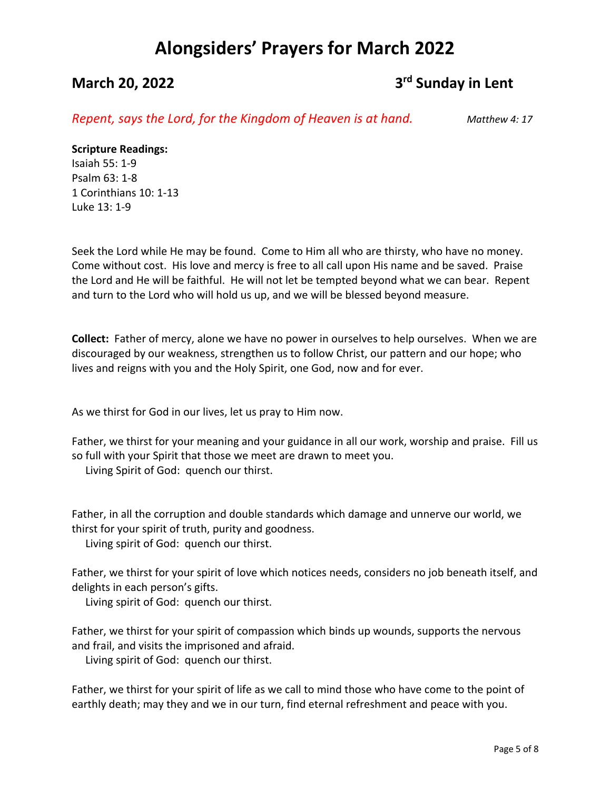## **March 20, 2022 3<sup>rd</sup> Sunday in Lent**

*Repent, says the Lord, for the Kingdom of Heaven is at hand. Matthew 4: 17*

### **Scripture Readings:**

Isaiah 55: 1-9 Psalm 63: 1-8 1 Corinthians 10: 1-13 Luke 13: 1-9

Seek the Lord while He may be found. Come to Him all who are thirsty, who have no money. Come without cost. His love and mercy is free to all call upon His name and be saved. Praise the Lord and He will be faithful. He will not let be tempted beyond what we can bear. Repent and turn to the Lord who will hold us up, and we will be blessed beyond measure.

**Collect:** Father of mercy, alone we have no power in ourselves to help ourselves. When we are discouraged by our weakness, strengthen us to follow Christ, our pattern and our hope; who lives and reigns with you and the Holy Spirit, one God, now and for ever.

As we thirst for God in our lives, let us pray to Him now.

Father, we thirst for your meaning and your guidance in all our work, worship and praise. Fill us so full with your Spirit that those we meet are drawn to meet you. Living Spirit of God: quench our thirst.

Father, in all the corruption and double standards which damage and unnerve our world, we thirst for your spirit of truth, purity and goodness.

Living spirit of God: quench our thirst.

Father, we thirst for your spirit of love which notices needs, considers no job beneath itself, and delights in each person's gifts.

Living spirit of God: quench our thirst.

Father, we thirst for your spirit of compassion which binds up wounds, supports the nervous and frail, and visits the imprisoned and afraid.

Living spirit of God: quench our thirst.

Father, we thirst for your spirit of life as we call to mind those who have come to the point of earthly death; may they and we in our turn, find eternal refreshment and peace with you.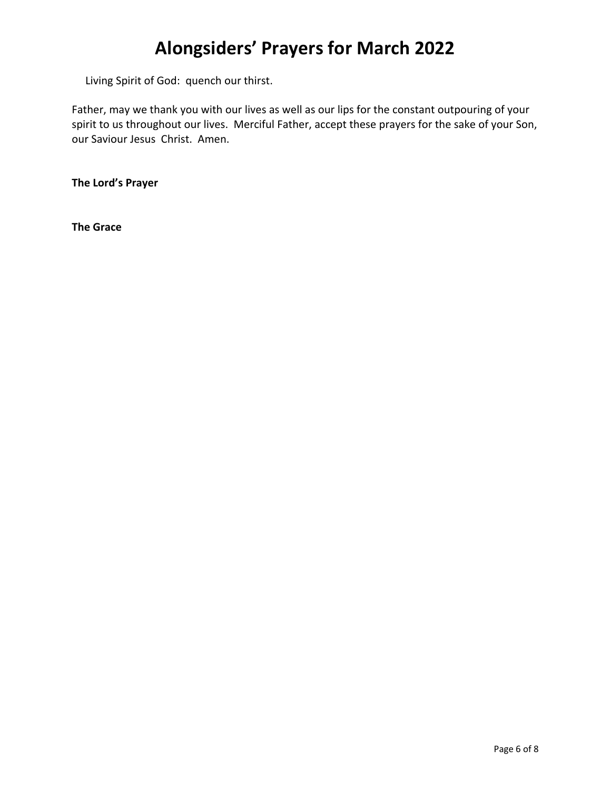Living Spirit of God: quench our thirst.

Father, may we thank you with our lives as well as our lips for the constant outpouring of your spirit to us throughout our lives. Merciful Father, accept these prayers for the sake of your Son, our Saviour Jesus Christ. Amen.

**The Lord's Prayer**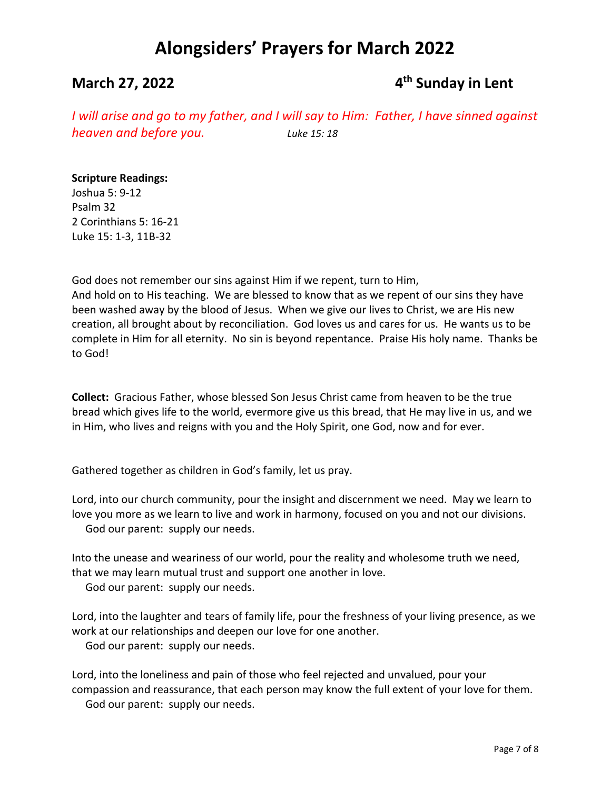## **March 27, 2022 19 and 19 and 19 and 19 and 19 and 19 and 19 and 19 and 19 and 19 and 19 and 19 and 19 and 19 and 19 and 19 and 19 and 19 and 19 and 19 and 19 and 19 and 19 and 19 and 19 and 19 and 19 and 19 and 19 and 1**

*I will arise and go to my father, and I will say to Him: Father, I have sinned against heaven and before you. Luke 15: 18*

### **Scripture Readings:**

Joshua 5: 9-12 Psalm 32 2 Corinthians 5: 16-21 Luke 15: 1-3, 11B-32

God does not remember our sins against Him if we repent, turn to Him, And hold on to His teaching. We are blessed to know that as we repent of our sins they have been washed away by the blood of Jesus. When we give our lives to Christ, we are His new creation, all brought about by reconciliation. God loves us and cares for us. He wants us to be complete in Him for all eternity. No sin is beyond repentance. Praise His holy name. Thanks be to God!

**Collect:** Gracious Father, whose blessed Son Jesus Christ came from heaven to be the true bread which gives life to the world, evermore give us this bread, that He may live in us, and we in Him, who lives and reigns with you and the Holy Spirit, one God, now and for ever.

Gathered together as children in God's family, let us pray.

Lord, into our church community, pour the insight and discernment we need. May we learn to love you more as we learn to live and work in harmony, focused on you and not our divisions. God our parent: supply our needs.

Into the unease and weariness of our world, pour the reality and wholesome truth we need, that we may learn mutual trust and support one another in love.

God our parent: supply our needs.

Lord, into the laughter and tears of family life, pour the freshness of your living presence, as we work at our relationships and deepen our love for one another.

God our parent: supply our needs.

Lord, into the loneliness and pain of those who feel rejected and unvalued, pour your compassion and reassurance, that each person may know the full extent of your love for them. God our parent: supply our needs.